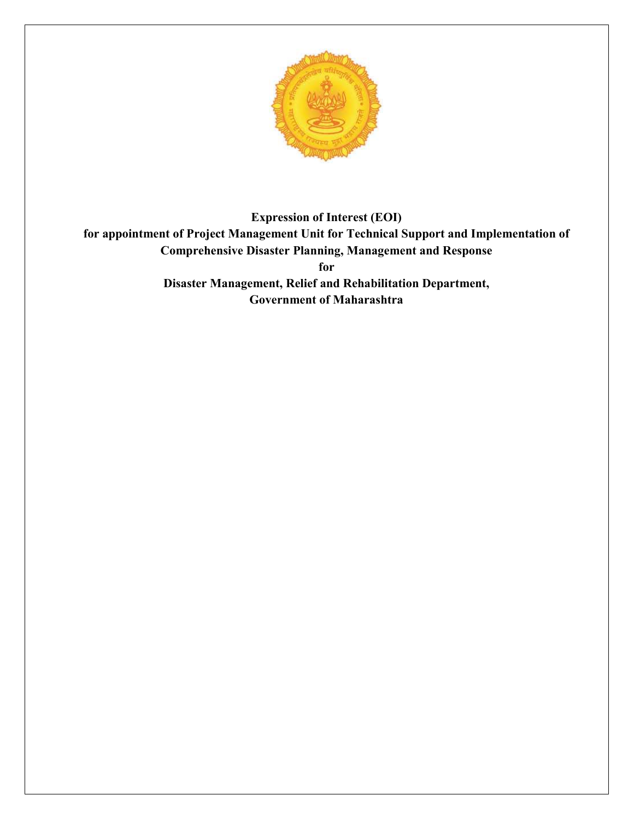

**Government of Maharashtra**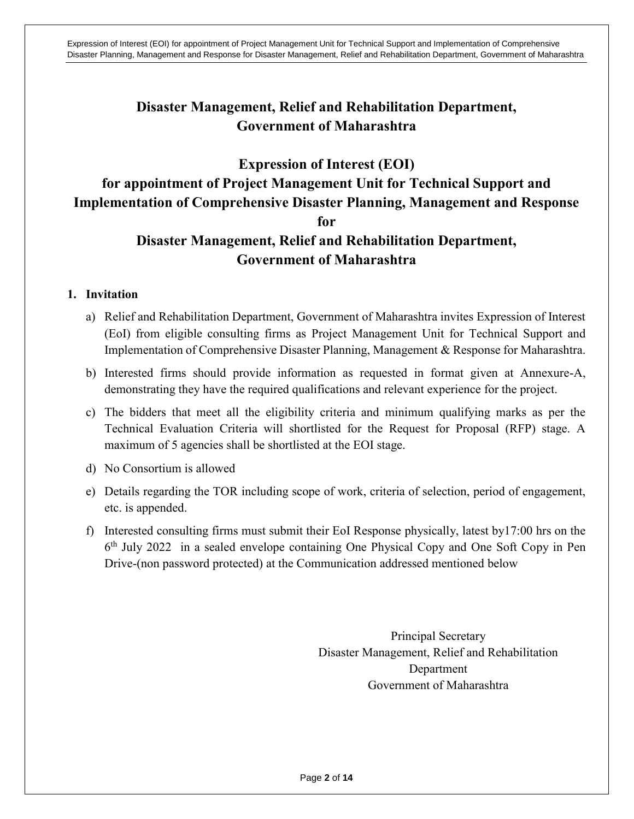# **Disaster Management, Relief and Rehabilitation Department, Government of Maharashtra**

# **Expression of Interest (EOI)**

# **for appointment of Project Management Unit for Technical Support and Implementation of Comprehensive Disaster Planning, Management and Response**

#### **for**

# **Disaster Management, Relief and Rehabilitation Department, Government of Maharashtra**

## **1. Invitation**

- a) Relief and Rehabilitation Department, Government of Maharashtra invites Expression of Interest (EoI) from eligible consulting firms as Project Management Unit for Technical Support and Implementation of Comprehensive Disaster Planning, Management & Response for Maharashtra.
- b) Interested firms should provide information as requested in format given at Annexure-A, demonstrating they have the required qualifications and relevant experience for the project.
- c) The bidders that meet all the eligibility criteria and minimum qualifying marks as per the Technical Evaluation Criteria will shortlisted for the Request for Proposal (RFP) stage. A maximum of 5 agencies shall be shortlisted at the EOI stage.
- d) No Consortium is allowed
- e) Details regarding the TOR including scope of work, criteria of selection, period of engagement, etc. is appended.
- f) Interested consulting firms must submit their EoI Response physically, latest by17:00 hrs on the 6<sup>th</sup> July 2022 in a sealed envelope containing One Physical Copy and One Soft Copy in Pen Drive-(non password protected) at the Communication addressed mentioned below

Principal Secretary Disaster Management, Relief and Rehabilitation Department Government of Maharashtra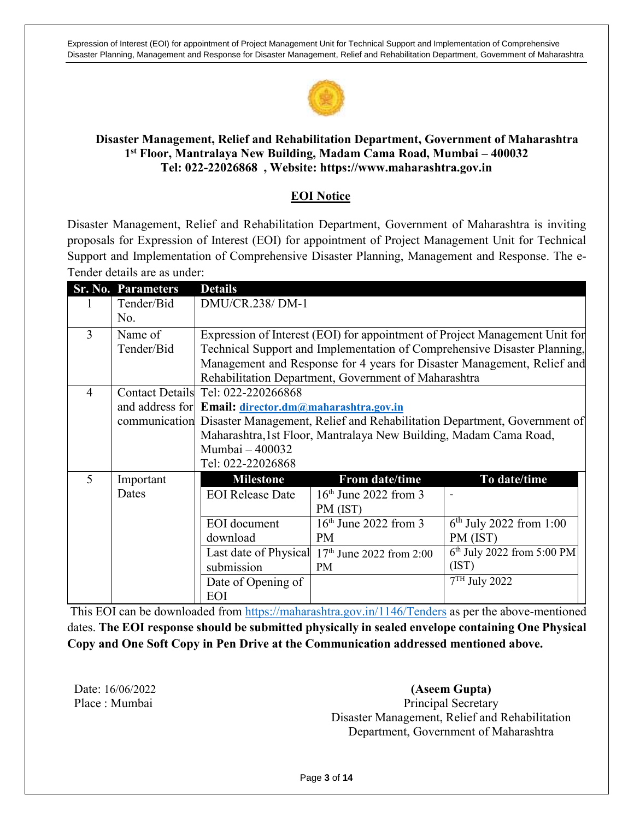

#### **Disaster Management, Relief and Rehabilitation Department, Government of Maharashtra 1 st Floor, Mantralaya New Building, Madam Cama Road, Mumbai – 400032 Tel: 022-22026868 , Website: https://www.maharashtra.gov.in**

## **EOI Notice**

Disaster Management, Relief and Rehabilitation Department, Government of Maharashtra is inviting proposals for Expression of Interest (EOI) for appointment of Project Management Unit for Technical Support and Implementation of Comprehensive Disaster Planning, Management and Response. The e-Tender details are as under:

|                | <b>Sr. No. Parameters</b> | <b>Details</b>                                                                         |                                                  |                              |  |  |
|----------------|---------------------------|----------------------------------------------------------------------------------------|--------------------------------------------------|------------------------------|--|--|
|                | Tender/Bid                | DMU/CR.238/ DM-1                                                                       |                                                  |                              |  |  |
|                | No.                       |                                                                                        |                                                  |                              |  |  |
| 3              | Name of                   | Expression of Interest (EOI) for appointment of Project Management Unit for            |                                                  |                              |  |  |
|                | Tender/Bid                | Technical Support and Implementation of Comprehensive Disaster Planning,               |                                                  |                              |  |  |
|                |                           | Management and Response for 4 years for Disaster Management, Relief and                |                                                  |                              |  |  |
|                |                           | Rehabilitation Department, Government of Maharashtra                                   |                                                  |                              |  |  |
| $\overline{4}$ |                           | Contact Details Tel: 022-220266868                                                     |                                                  |                              |  |  |
|                |                           | and address for Email: director.dm@maharashtra.gov.in                                  |                                                  |                              |  |  |
|                |                           | communication Disaster Management, Relief and Rehabilitation Department, Government of |                                                  |                              |  |  |
|                |                           | Maharashtra, 1st Floor, Mantralaya New Building, Madam Cama Road,                      |                                                  |                              |  |  |
|                |                           | Mumbai - 400032                                                                        |                                                  |                              |  |  |
|                |                           | Tel: 022-22026868                                                                      |                                                  |                              |  |  |
| 5              | Important                 | <b>Milestone</b>                                                                       | From date/time                                   | To date/time                 |  |  |
|                | Dates                     | <b>EOI</b> Release Date                                                                | $16th$ June 2022 from 3                          |                              |  |  |
|                |                           |                                                                                        | PM (IST)                                         |                              |  |  |
|                |                           | <b>EOI</b> document                                                                    | $16th$ June 2022 from 3                          | $6th$ July 2022 from 1:00    |  |  |
|                |                           | download                                                                               | PM                                               | PM (IST)                     |  |  |
|                |                           |                                                                                        | Last date of Physical $17th$ June 2022 from 2:00 | $6th$ July 2022 from 5:00 PM |  |  |
|                |                           | submission                                                                             | <b>PM</b>                                        | (IST)                        |  |  |
|                |                           | Date of Opening of                                                                     |                                                  | $7TH$ July 2022              |  |  |
|                |                           | EOI                                                                                    |                                                  |                              |  |  |

This EOI can be downloaded from<https://maharashtra.gov.in/1146/Tenders> as per the above-mentioned dates. **The EOI response should be submitted physically in sealed envelope containing One Physical Copy and One Soft Copy in Pen Drive at the Communication addressed mentioned above.** 

Date: 16/06/2022 Place : Mumbai

**(Aseem Gupta)** Principal Secretary Disaster Management, Relief and Rehabilitation Department, Government of Maharashtra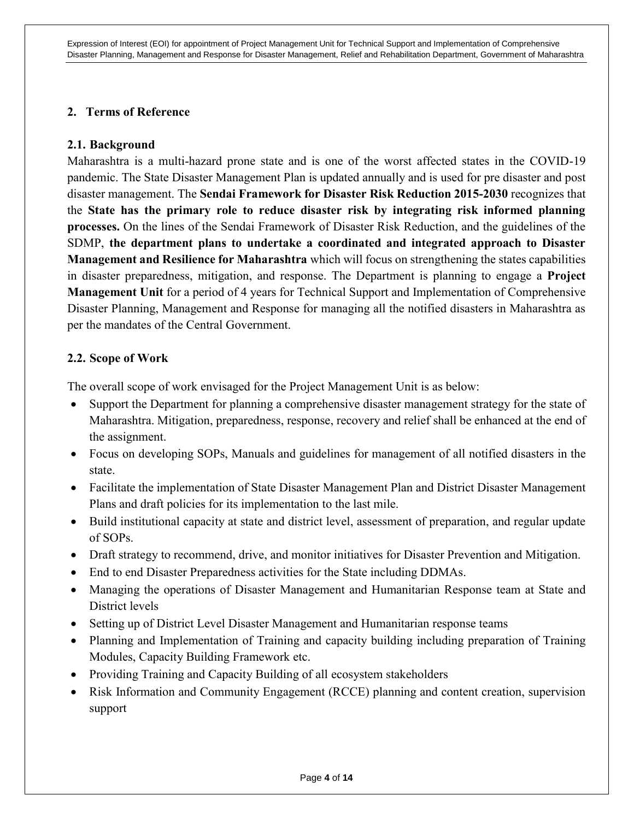#### **2. Terms of Reference**

#### **2.1. Background**

Maharashtra is a multi-hazard prone state and is one of the worst affected states in the COVID-19 pandemic. The State Disaster Management Plan is updated annually and is used for pre disaster and post disaster management. The **Sendai Framework for Disaster Risk Reduction 2015-2030** recognizes that the **State has the primary role to reduce disaster risk by integrating risk informed planning processes.** On the lines of the Sendai Framework of Disaster Risk Reduction, and the guidelines of the SDMP, **the department plans to undertake a coordinated and integrated approach to Disaster Management and Resilience for Maharashtra** which will focus on strengthening the states capabilities in disaster preparedness, mitigation, and response. The Department is planning to engage a **Project Management Unit** for a period of 4 years for Technical Support and Implementation of Comprehensive Disaster Planning, Management and Response for managing all the notified disasters in Maharashtra as per the mandates of the Central Government.

## **2.2. Scope of Work**

The overall scope of work envisaged for the Project Management Unit is as below:

- Support the Department for planning a comprehensive disaster management strategy for the state of Maharashtra. Mitigation, preparedness, response, recovery and relief shall be enhanced at the end of the assignment.
- Focus on developing SOPs, Manuals and guidelines for management of all notified disasters in the state.
- Facilitate the implementation of State Disaster Management Plan and District Disaster Management Plans and draft policies for its implementation to the last mile.
- Build institutional capacity at state and district level, assessment of preparation, and regular update of SOPs.
- Draft strategy to recommend, drive, and monitor initiatives for Disaster Prevention and Mitigation.
- End to end Disaster Preparedness activities for the State including DDMAs.
- Managing the operations of Disaster Management and Humanitarian Response team at State and District levels
- Setting up of District Level Disaster Management and Humanitarian response teams
- Planning and Implementation of Training and capacity building including preparation of Training Modules, Capacity Building Framework etc.
- Providing Training and Capacity Building of all ecosystem stakeholders
- Risk Information and Community Engagement (RCCE) planning and content creation, supervision support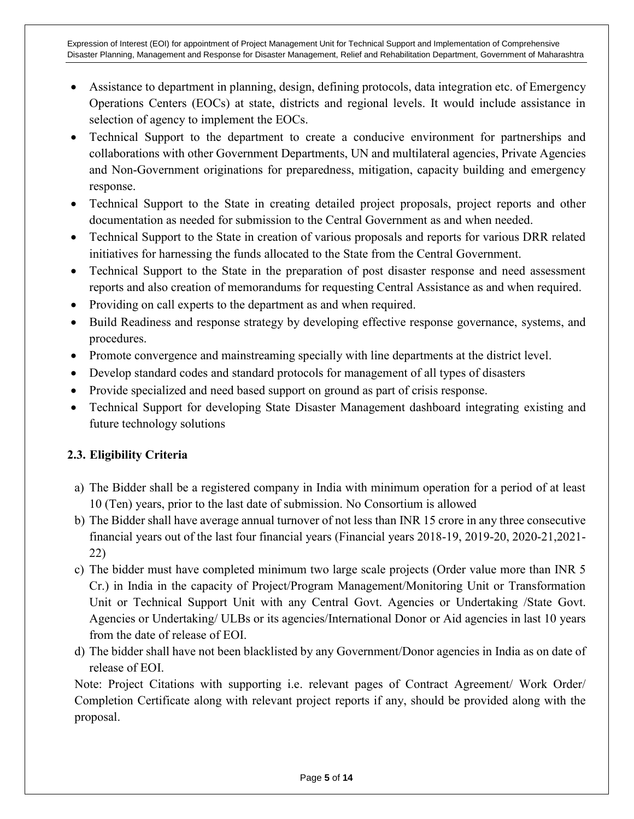- Assistance to department in planning, design, defining protocols, data integration etc. of Emergency Operations Centers (EOCs) at state, districts and regional levels. It would include assistance in selection of agency to implement the EOCs.
- Technical Support to the department to create a conducive environment for partnerships and collaborations with other Government Departments, UN and multilateral agencies, Private Agencies and Non-Government originations for preparedness, mitigation, capacity building and emergency response.
- Technical Support to the State in creating detailed project proposals, project reports and other documentation as needed for submission to the Central Government as and when needed.
- Technical Support to the State in creation of various proposals and reports for various DRR related initiatives for harnessing the funds allocated to the State from the Central Government.
- Technical Support to the State in the preparation of post disaster response and need assessment reports and also creation of memorandums for requesting Central Assistance as and when required.
- Providing on call experts to the department as and when required.
- Build Readiness and response strategy by developing effective response governance, systems, and procedures.
- Promote convergence and mainstreaming specially with line departments at the district level.
- Develop standard codes and standard protocols for management of all types of disasters
- Provide specialized and need based support on ground as part of crisis response.
- Technical Support for developing State Disaster Management dashboard integrating existing and future technology solutions

# **2.3. Eligibility Criteria**

- a) The Bidder shall be a registered company in India with minimum operation for a period of at least 10 (Ten) years, prior to the last date of submission. No Consortium is allowed
- b) The Bidder shall have average annual turnover of not less than INR 15 crore in any three consecutive financial years out of the last four financial years (Financial years 2018-19, 2019-20, 2020-21,2021- 22)
- c) The bidder must have completed minimum two large scale projects (Order value more than INR 5 Cr.) in India in the capacity of Project/Program Management/Monitoring Unit or Transformation Unit or Technical Support Unit with any Central Govt. Agencies or Undertaking /State Govt. Agencies or Undertaking/ ULBs or its agencies/International Donor or Aid agencies in last 10 years from the date of release of EOI.
- d) The bidder shall have not been blacklisted by any Government/Donor agencies in India as on date of release of EOI.

Note: Project Citations with supporting i.e. relevant pages of Contract Agreement/ Work Order/ Completion Certificate along with relevant project reports if any, should be provided along with the proposal.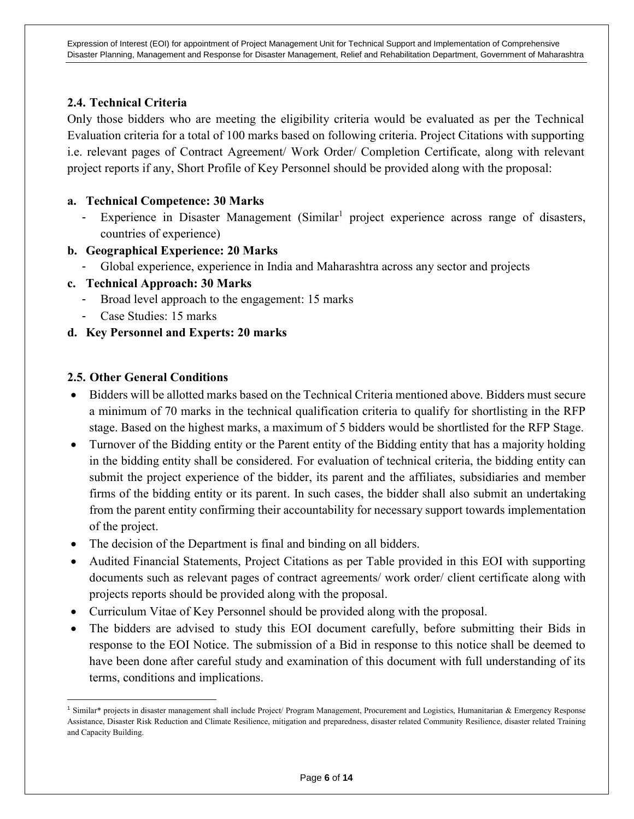## **2.4. Technical Criteria**

Only those bidders who are meeting the eligibility criteria would be evaluated as per the Technical Evaluation criteria for a total of 100 marks based on following criteria. Project Citations with supporting i.e. relevant pages of Contract Agreement/ Work Order/ Completion Certificate, along with relevant project reports if any, Short Profile of Key Personnel should be provided along with the proposal:

#### **a. Technical Competence: 30 Marks**

- Experience in Disaster Management (Similar<sup>1</sup> project experience across range of disasters, countries of experience)
- **b. Geographical Experience: 20 Marks**
	- Global experience, experience in India and Maharashtra across any sector and projects
- **c. Technical Approach: 30 Marks**
	- Broad level approach to the engagement: 15 marks
	- Case Studies: 15 marks
- **d. Key Personnel and Experts: 20 marks**

#### **2.5. Other General Conditions**

l

- Bidders will be allotted marks based on the Technical Criteria mentioned above. Bidders must secure a minimum of 70 marks in the technical qualification criteria to qualify for shortlisting in the RFP stage. Based on the highest marks, a maximum of 5 bidders would be shortlisted for the RFP Stage.
- Turnover of the Bidding entity or the Parent entity of the Bidding entity that has a majority holding in the bidding entity shall be considered. For evaluation of technical criteria, the bidding entity can submit the project experience of the bidder, its parent and the affiliates, subsidiaries and member firms of the bidding entity or its parent. In such cases, the bidder shall also submit an undertaking from the parent entity confirming their accountability for necessary support towards implementation of the project.
- The decision of the Department is final and binding on all bidders.
- Audited Financial Statements, Project Citations as per Table provided in this EOI with supporting documents such as relevant pages of contract agreements/ work order/ client certificate along with projects reports should be provided along with the proposal.
- Curriculum Vitae of Key Personnel should be provided along with the proposal.
- The bidders are advised to study this EOI document carefully, before submitting their Bids in response to the EOI Notice. The submission of a Bid in response to this notice shall be deemed to have been done after careful study and examination of this document with full understanding of its terms, conditions and implications.

<sup>&</sup>lt;sup>1</sup> Similar<sup>\*</sup> projects in disaster management shall include Project/ Program Management, Procurement and Logistics, Humanitarian & Emergency Response Assistance, Disaster Risk Reduction and Climate Resilience, mitigation and preparedness, disaster related Community Resilience, disaster related Training and Capacity Building.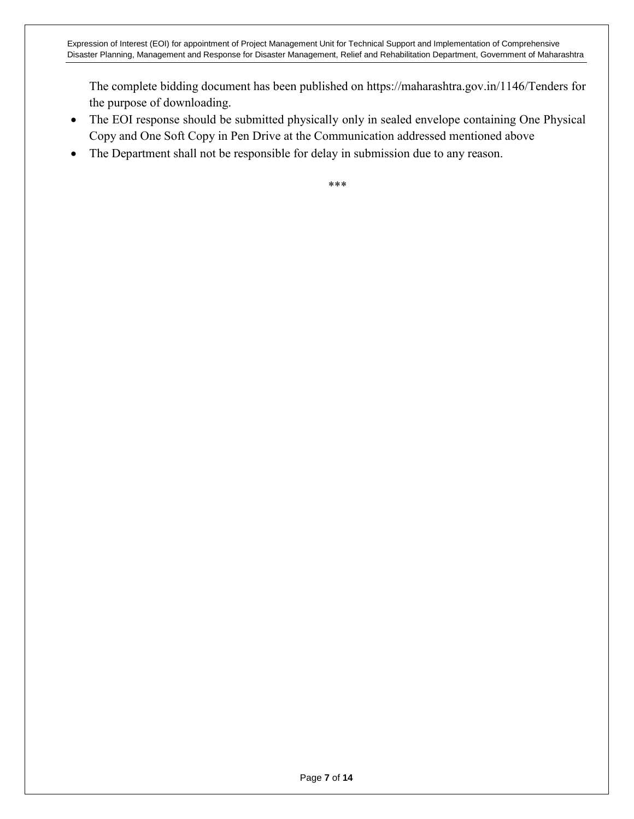The complete bidding document has been published on https://maharashtra.gov.in/1146/Tenders for the purpose of downloading.

- The EOI response should be submitted physically only in sealed envelope containing One Physical Copy and One Soft Copy in Pen Drive at the Communication addressed mentioned above
- The Department shall not be responsible for delay in submission due to any reason.

\*\*\*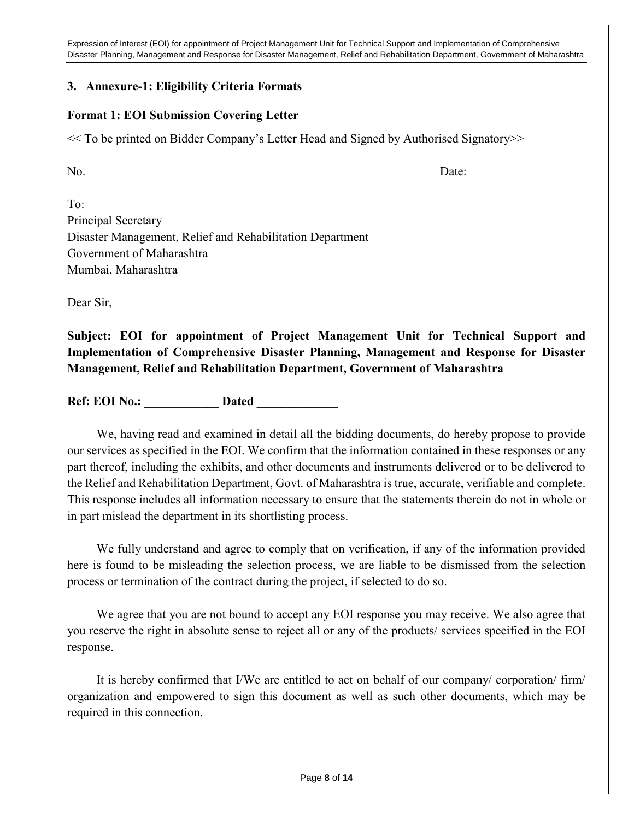#### **3. Annexure-1: Eligibility Criteria Formats**

#### **Format 1: EOI Submission Covering Letter**

<< To be printed on Bidder Company's Letter Head and Signed by Authorised Signatory>>

No. Date:

To: Principal Secretary Disaster Management, Relief and Rehabilitation Department Government of Maharashtra Mumbai, Maharashtra

Dear Sir,

**Subject: EOI for appointment of Project Management Unit for Technical Support and Implementation of Comprehensive Disaster Planning, Management and Response for Disaster Management, Relief and Rehabilitation Department, Government of Maharashtra**

**Ref: EOI No.:** Dated

We, having read and examined in detail all the bidding documents, do hereby propose to provide our services as specified in the EOI. We confirm that the information contained in these responses or any part thereof, including the exhibits, and other documents and instruments delivered or to be delivered to the Relief and Rehabilitation Department, Govt. of Maharashtra is true, accurate, verifiable and complete. This response includes all information necessary to ensure that the statements therein do not in whole or in part mislead the department in its shortlisting process.

We fully understand and agree to comply that on verification, if any of the information provided here is found to be misleading the selection process, we are liable to be dismissed from the selection process or termination of the contract during the project, if selected to do so.

We agree that you are not bound to accept any EOI response you may receive. We also agree that you reserve the right in absolute sense to reject all or any of the products/ services specified in the EOI response.

It is hereby confirmed that I/We are entitled to act on behalf of our company/ corporation/ firm/ organization and empowered to sign this document as well as such other documents, which may be required in this connection.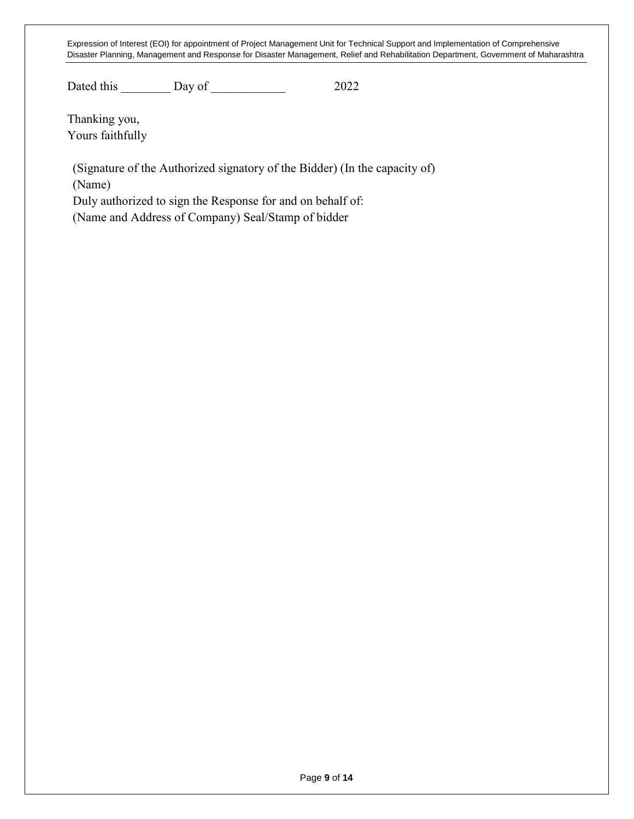Dated this **Day of 2022** 

Thanking you, Yours faithfully

(Signature of the Authorized signatory of the Bidder) (In the capacity of) (Name)

Duly authorized to sign the Response for and on behalf of:

(Name and Address of Company) Seal/Stamp of bidder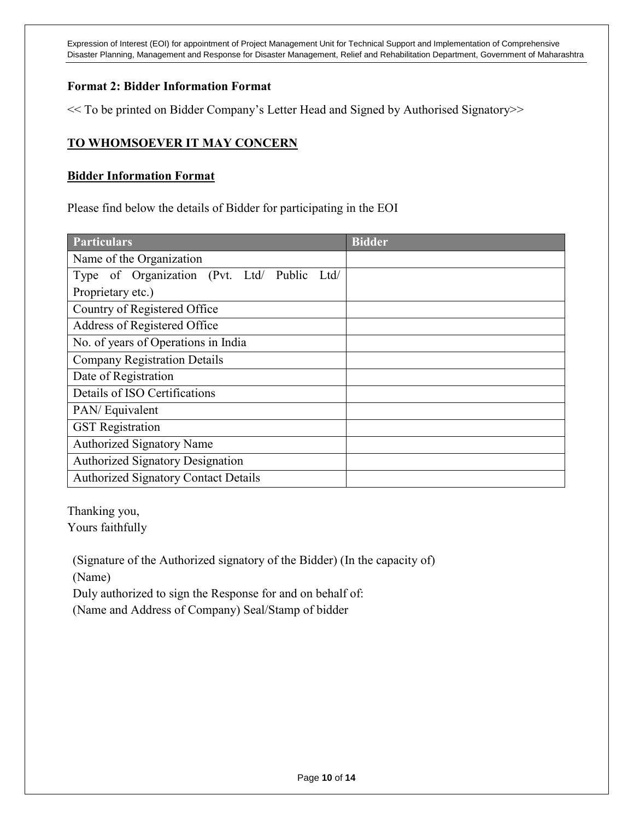#### **Format 2: Bidder Information Format**

<< To be printed on Bidder Company's Letter Head and Signed by Authorised Signatory>>

## **TO WHOMSOEVER IT MAY CONCERN**

#### **Bidder Information Format**

Please find below the details of Bidder for participating in the EOI

| <b>Particulars</b>                             | <b>Bidder</b> |  |  |  |  |
|------------------------------------------------|---------------|--|--|--|--|
| Name of the Organization                       |               |  |  |  |  |
| Type of Organization (Pvt. Ltd/ Public<br>Ltd/ |               |  |  |  |  |
| Proprietary etc.)                              |               |  |  |  |  |
| Country of Registered Office                   |               |  |  |  |  |
| Address of Registered Office                   |               |  |  |  |  |
| No. of years of Operations in India            |               |  |  |  |  |
| <b>Company Registration Details</b>            |               |  |  |  |  |
| Date of Registration                           |               |  |  |  |  |
| Details of ISO Certifications                  |               |  |  |  |  |
| PAN/Equivalent                                 |               |  |  |  |  |
| <b>GST</b> Registration                        |               |  |  |  |  |
| <b>Authorized Signatory Name</b>               |               |  |  |  |  |
| <b>Authorized Signatory Designation</b>        |               |  |  |  |  |
| <b>Authorized Signatory Contact Details</b>    |               |  |  |  |  |

Thanking you, Yours faithfully

(Signature of the Authorized signatory of the Bidder) (In the capacity of) (Name)

Duly authorized to sign the Response for and on behalf of: (Name and Address of Company) Seal/Stamp of bidder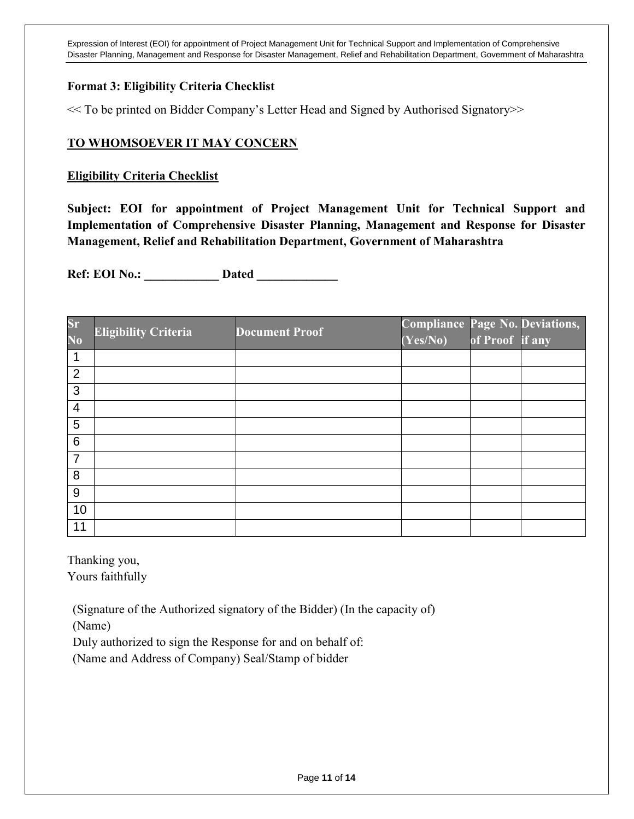#### **Format 3: Eligibility Criteria Checklist**

<< To be printed on Bidder Company's Letter Head and Signed by Authorised Signatory>>

#### **TO WHOMSOEVER IT MAY CONCERN**

#### **Eligibility Criteria Checklist**

**Subject: EOI for appointment of Project Management Unit for Technical Support and Implementation of Comprehensive Disaster Planning, Management and Response for Disaster Management, Relief and Rehabilitation Department, Government of Maharashtra**

**Ref: EOI No.: \_\_\_\_\_\_\_\_\_\_\_\_ Dated \_\_\_\_\_\_\_\_\_\_\_\_\_** 

| $S_{\Gamma}$    | <b>Eligibility Criteria</b> | <b>Document Proof</b> | <b>Compliance Page No. Deviations,</b> |                 |  |
|-----------------|-----------------------------|-----------------------|----------------------------------------|-----------------|--|
| N <sub>0</sub>  |                             |                       | (Yes/No)                               | of Proof if any |  |
|                 |                             |                       |                                        |                 |  |
| $\overline{2}$  |                             |                       |                                        |                 |  |
| 3               |                             |                       |                                        |                 |  |
| $\overline{4}$  |                             |                       |                                        |                 |  |
| 5               |                             |                       |                                        |                 |  |
| $6\phantom{1}6$ |                             |                       |                                        |                 |  |
| $\overline{7}$  |                             |                       |                                        |                 |  |
| 8               |                             |                       |                                        |                 |  |
| 9               |                             |                       |                                        |                 |  |
| 10              |                             |                       |                                        |                 |  |
| 11              |                             |                       |                                        |                 |  |

Thanking you, Yours faithfully

(Signature of the Authorized signatory of the Bidder) (In the capacity of)

(Name)

Duly authorized to sign the Response for and on behalf of:

(Name and Address of Company) Seal/Stamp of bidder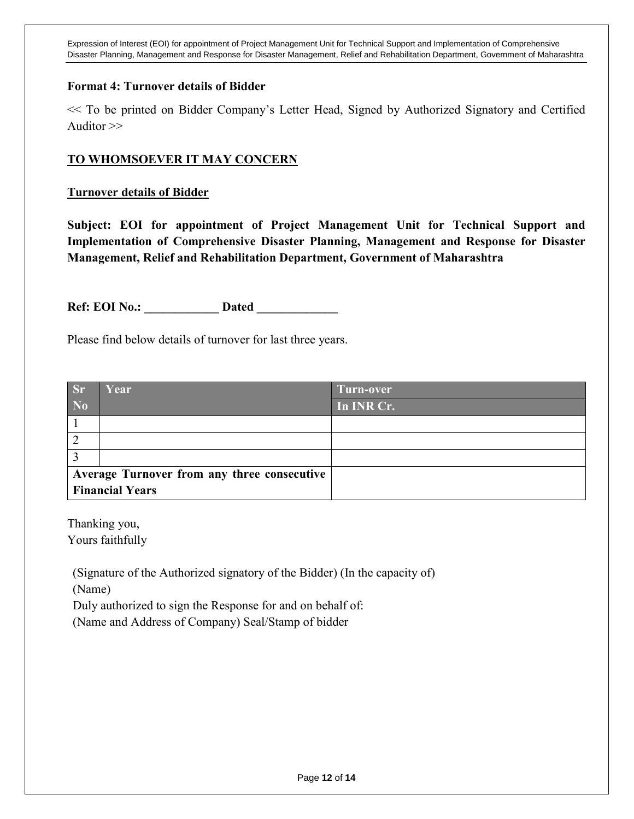#### **Format 4: Turnover details of Bidder**

<< To be printed on Bidder Company's Letter Head, Signed by Authorized Signatory and Certified Auditor >>

#### **TO WHOMSOEVER IT MAY CONCERN**

#### **Turnover details of Bidder**

**Subject: EOI for appointment of Project Management Unit for Technical Support and Implementation of Comprehensive Disaster Planning, Management and Response for Disaster Management, Relief and Rehabilitation Department, Government of Maharashtra**

**Ref: EOI No.:** Dated

Please find below details of turnover for last three years.

| Sr                     | Year                                        | Turn-over  |
|------------------------|---------------------------------------------|------------|
| N <sub>0</sub>         |                                             | In INR Cr. |
|                        |                                             |            |
|                        |                                             |            |
|                        |                                             |            |
|                        | Average Turnover from any three consecutive |            |
| <b>Financial Years</b> |                                             |            |

Thanking you, Yours faithfully

(Signature of the Authorized signatory of the Bidder) (In the capacity of)

(Name)

Duly authorized to sign the Response for and on behalf of:

(Name and Address of Company) Seal/Stamp of bidder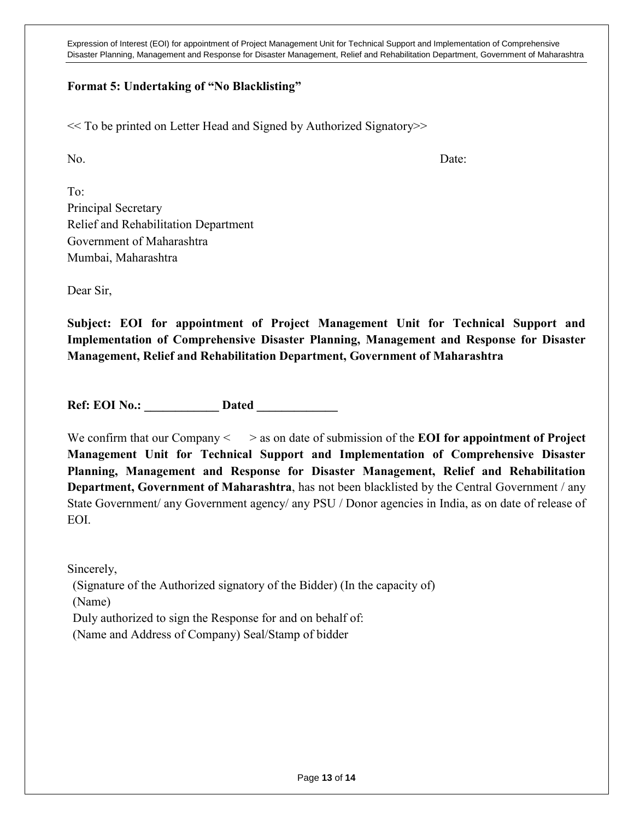## **Format 5: Undertaking of "No Blacklisting"**

<< To be printed on Letter Head and Signed by Authorized Signatory>>

No. Date:

To: Principal Secretary Relief and Rehabilitation Department Government of Maharashtra Mumbai, Maharashtra

Dear Sir,

**Subject: EOI for appointment of Project Management Unit for Technical Support and Implementation of Comprehensive Disaster Planning, Management and Response for Disaster Management, Relief and Rehabilitation Department, Government of Maharashtra**

**Ref: EOI No.:** Dated

We confirm that our Company  $\leq$   $\geq$  as on date of submission of the **EOI for appointment of Project Management Unit for Technical Support and Implementation of Comprehensive Disaster Planning, Management and Response for Disaster Management, Relief and Rehabilitation Department, Government of Maharashtra**, has not been blacklisted by the Central Government / any State Government/ any Government agency/ any PSU / Donor agencies in India, as on date of release of EOI.

Sincerely, (Signature of the Authorized signatory of the Bidder) (In the capacity of) (Name) Duly authorized to sign the Response for and on behalf of: (Name and Address of Company) Seal/Stamp of bidder